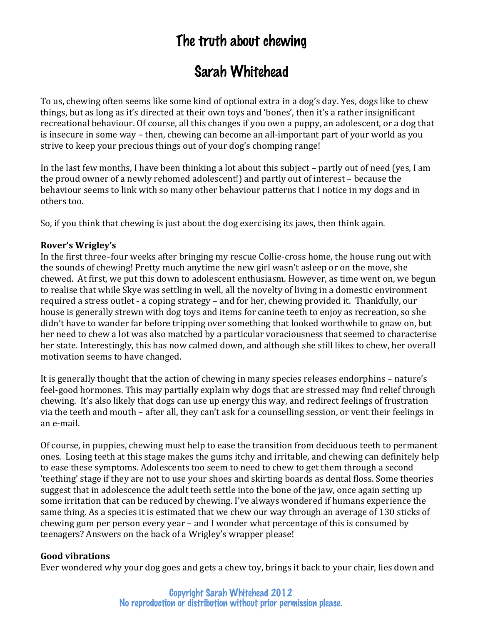# The truth about chewing

# Sarah Whitehead

To us, chewing often seems like some kind of optional extra in a dog's day. Yes, dogs like to chew things, but as long as it's directed at their own toys and 'bones', then it's a rather insignificant recreational behaviour. Of course, all this changes if you own a puppy, an adolescent, or a dog that is insecure in some way – then, chewing can become an all-important part of your world as you strive to keep your precious things out of your dog's chomping range!

In the last few months, I have been thinking a lot about this subject – partly out of need (yes, I am the proud owner of a newly rehomed adolescent!) and partly out of interest – because the behaviour seems to link with so many other behaviour patterns that I notice in my dogs and in others too. 

So, if you think that chewing is just about the dog exercising its jaws, then think again.

## **Rover's Wrigley's**

In the first three–four weeks after bringing my rescue Collie-cross home, the house rung out with the sounds of chewing! Pretty much anytime the new girl wasn't asleep or on the move, she chewed. At first, we put this down to adolescent enthusiasm. However, as time went on, we begun to realise that while Skye was settling in well, all the novelty of living in a domestic environment required a stress outlet - a coping strategy – and for her, chewing provided it. Thankfully, our house is generally strewn with dog toys and items for canine teeth to enjoy as recreation, so she didn't have to wander far before tripping over something that looked worthwhile to gnaw on, but her need to chew a lot was also matched by a particular voraciousness that seemed to characterise her state. Interestingly, this has now calmed down, and although she still likes to chew, her overall motivation seems to have changed.

It is generally thought that the action of chewing in many species releases endorphins – nature's feel-good hormones. This may partially explain why dogs that are stressed may find relief through chewing. It's also likely that dogs can use up energy this way, and redirect feelings of frustration via the teeth and mouth – after all, they can't ask for a counselling session, or vent their feelings in an e-mail. 

Of course, in puppies, chewing must help to ease the transition from deciduous teeth to permanent ones. Losing teeth at this stage makes the gums itchy and irritable, and chewing can definitely help to ease these symptoms. Adolescents too seem to need to chew to get them through a second 'teething' stage if they are not to use your shoes and skirting boards as dental floss. Some theories suggest that in adolescence the adult teeth settle into the bone of the jaw, once again setting up some irritation that can be reduced by chewing. I've always wondered if humans experience the same thing. As a species it is estimated that we chew our way through an average of 130 sticks of chewing gum per person every year – and I wonder what percentage of this is consumed by teenagers? Answers on the back of a Wrigley's wrapper please!

#### **Good vibrations**

Ever wondered why your dog goes and gets a chew toy, brings it back to your chair, lies down and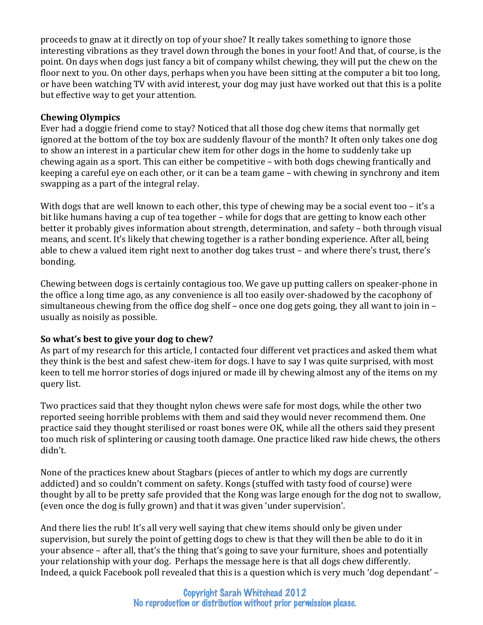proceeds to gnaw at it directly on top of your shoe? It really takes something to ignore those interesting vibrations as they travel down through the bones in your foot! And that, of course, is the point. On days when dogs just fancy a bit of company whilst chewing, they will put the chew on the floor next to you. On other days, perhaps when you have been sitting at the computer a bit too long, or have been watching TV with avid interest, your dog may just have worked out that this is a polite but effective way to get your attention.

## **Chewing Olympics**

Ever had a doggie friend come to stay? Noticed that all those dog chew items that normally get ignored at the bottom of the toy box are suddenly flavour of the month? It often only takes one dog to show an interest in a particular chew item for other dogs in the home to suddenly take up chewing again as a sport. This can either be competitive – with both dogs chewing frantically and keeping a careful eye on each other, or it can be a team game – with chewing in synchrony and item swapping as a part of the integral relay.

With dogs that are well known to each other, this type of chewing may be a social event too – it's a bit like humans having a cup of tea together – while for dogs that are getting to know each other better it probably gives information about strength, determination, and safety – both through visual means, and scent. It's likely that chewing together is a rather bonding experience. After all, being able to chew a valued item right next to another dog takes trust – and where there's trust, there's bonding. 

Chewing between dogs is certainly contagious too. We gave up putting callers on speaker-phone in the office a long time ago, as any convenience is all too easily over-shadowed by the cacophony of simultaneous chewing from the office dog shelf – once one dog gets going, they all want to join in – usually as noisily as possible.

#### So what's best to give your dog to chew?

As part of my research for this article, I contacted four different vet practices and asked them what they think is the best and safest chew-item for dogs. I have to say I was quite surprised, with most keen to tell me horror stories of dogs injured or made ill by chewing almost any of the items on my query list. 

Two practices said that they thought nylon chews were safe for most dogs, while the other two reported seeing horrible problems with them and said they would never recommend them. One practice said they thought sterilised or roast bones were OK, while all the others said they present too much risk of splintering or causing tooth damage. One practice liked raw hide chews, the others didn't. 

None of the practices knew about Stagbars (pieces of antler to which my dogs are currently addicted) and so couldn't comment on safety. Kongs (stuffed with tasty food of course) were thought by all to be pretty safe provided that the Kong was large enough for the dog not to swallow, (even once the dog is fully grown) and that it was given 'under supervision'.

And there lies the rub! It's all very well saying that chew items should only be given under supervision, but surely the point of getting dogs to chew is that they will then be able to do it in your absence – after all, that's the thing that's going to save your furniture, shoes and potentially your relationship with your dog. Perhaps the message here is that all dogs chew differently. Indeed, a quick Facebook poll revealed that this is a question which is very much 'dog dependant' –